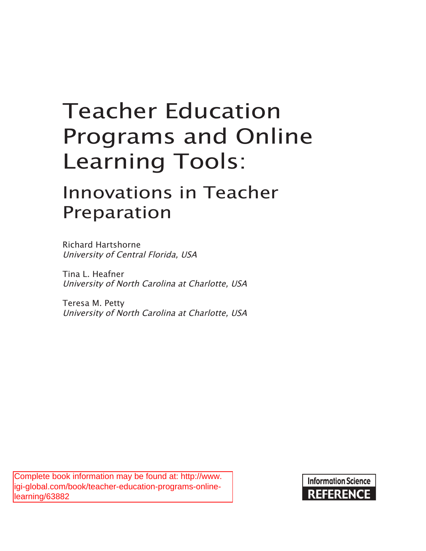# Teacher Education Programs and Online Learning Tools:

# Innovations in Teacher Preparation

Richard Hartshorne University of Central Florida, USA

Tina L. Heafner University of North Carolina at Charlotte, USA

Teresa M. Petty University of North Carolina at Charlotte, USA

Complete book information may be found at: http://www. igi-global.com/book/teacher-education-programs-onlinelearning/63882

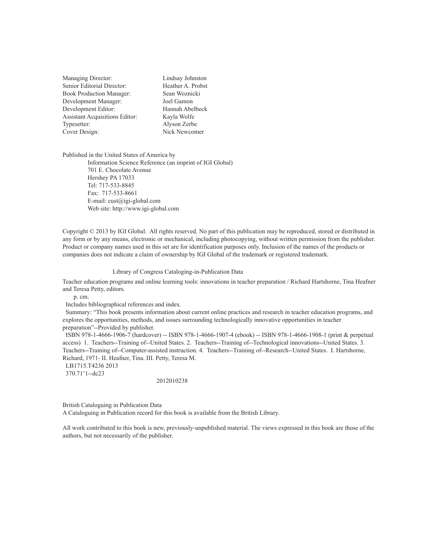| Managing Director:                    | Lindsay Johnston  |
|---------------------------------------|-------------------|
| Senior Editorial Director:            | Heather A. Probst |
| <b>Book Production Manager:</b>       | Sean Woznicki     |
| Development Manager:                  | Joel Gamon        |
| Development Editor:                   | Hannah Abelbeck   |
| <b>Assistant Acquisitions Editor:</b> | Kayla Wolfe       |
| Typesetter:                           | Alyson Zerbe      |
| Cover Design:                         | Nick Newcomer     |

Published in the United States of America by Information Science Reference (an imprint of IGI Global) 701 E. Chocolate Avenue Hershey PA 17033 Tel: 717-533-8845 Fax: 717-533-8661 E-mail: cust@igi-global.com Web site: http://www.igi-global.com

Copyright © 2013 by IGI Global. All rights reserved. No part of this publication may be reproduced, stored or distributed in any form or by any means, electronic or mechanical, including photocopying, without written permission from the publisher. Product or company names used in this set are for identification purposes only. Inclusion of the names of the products or companies does not indicate a claim of ownership by IGI Global of the trademark or registered trademark.

#### Library of Congress Cataloging-in-Publication Data

Teacher education programs and online learning tools: innovations in teacher preparation / Richard Hartshorne, Tina Heafner and Teresa Petty, editors.

p. cm.

Includes bibliographical references and index.

 Summary: "This book presents information about current online practices and research in teacher education programs, and explores the opportunities, methods, and issues surrounding technologically innovative opportunities in teacher preparation"--Provided by publisher.

 ISBN 978-1-4666-1906-7 (hardcover) -- ISBN 978-1-4666-1907-4 (ebook) -- ISBN 978-1-4666-1908-1 (print & perpetual access) 1. Teachers--Training of--United States. 2. Teachers--Training of--Technological innovations--United States. 3. Teachers--Training of--Computer-assisted instruction. 4. Teachers--Training of--Research--United States. I. Hartshorne, Richard, 1971- II. Heafner, Tina. III. Petty, Teresa M.

LB1715.T4236 2013

370.71'1--dc23

#### 2012010238

British Cataloguing in Publication Data

A Cataloguing in Publication record for this book is available from the British Library.

All work contributed to this book is new, previously-unpublished material. The views expressed in this book are those of the authors, but not necessarily of the publisher.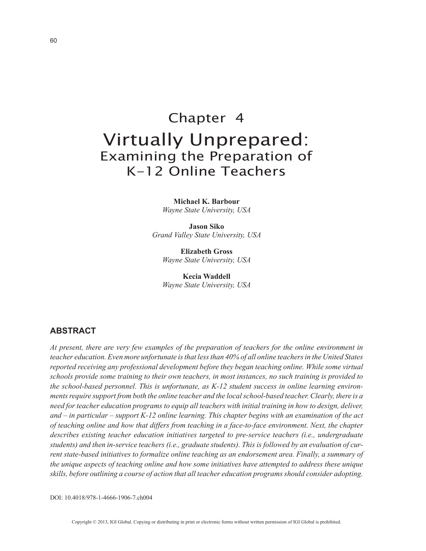# Chapter 4 Virtually Unprepared: Examining the Preparation of K-12 Online Teachers

**Michael K. Barbour** *Wayne State University, USA*

**Jason Siko** *Grand Valley State University, USA*

**Elizabeth Gross** *Wayne State University, USA*

**Kecia Waddell** *Wayne State University, USA*

#### **ABSTRACT**

*At present, there are very few examples of the preparation of teachers for the online environment in teacher education. Even more unfortunate is that less than 40% of all online teachers in the United States reported receiving any professional development before they began teaching online. While some virtual schools provide some training to their own teachers, in most instances, no such training is provided to the school-based personnel. This is unfortunate, as K-12 student success in online learning environments require support from both the online teacher and the local school-based teacher. Clearly, there is a need for teacher education programs to equip all teachers with initial training in how to design, deliver, and – in particular – support K-12 online learning. This chapter begins with an examination of the act of teaching online and how that differs from teaching in a face-to-face environment. Next, the chapter describes existing teacher education initiatives targeted to pre-service teachers (i.e., undergraduate students) and then in-service teachers (i.e., graduate students). This is followed by an evaluation of current state-based initiatives to formalize online teaching as an endorsement area. Finally, a summary of the unique aspects of teaching online and how some initiatives have attempted to address these unique skills, before outlining a course of action that all teacher education programs should consider adopting.*

DOI: 10.4018/978-1-4666-1906-7.ch004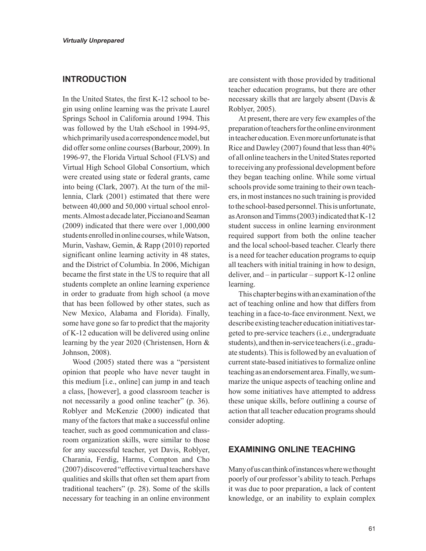#### **INTRODUCTION**

In the United States, the first K-12 school to begin using online learning was the private Laurel Springs School in California around 1994. This was followed by the Utah eSchool in 1994-95, which primarily used a correspondence model, but did offer some online courses (Barbour, 2009). In 1996-97, the Florida Virtual School (FLVS) and Virtual High School Global Consortium, which were created using state or federal grants, came into being (Clark, 2007). At the turn of the millennia, Clark (2001) estimated that there were between 40,000 and 50,000 virtual school enrolments. Almost a decade later, Picciano and Seaman (2009) indicated that there were over 1,000,000 students enrolled in online courses, while Watson, Murin, Vashaw, Gemin, & Rapp (2010) reported significant online learning activity in 48 states, and the District of Columbia. In 2006, Michigan became the first state in the US to require that all students complete an online learning experience in order to graduate from high school (a move that has been followed by other states, such as New Mexico, Alabama and Florida). Finally, some have gone so far to predict that the majority of K-12 education will be delivered using online learning by the year 2020 (Christensen, Horn & Johnson, 2008).

Wood (2005) stated there was a "persistent opinion that people who have never taught in this medium [i.e., online] can jump in and teach a class, [however], a good classroom teacher is not necessarily a good online teacher" (p. 36). Roblyer and McKenzie (2000) indicated that many of the factors that make a successful online teacher, such as good communication and classroom organization skills, were similar to those for any successful teacher, yet Davis, Roblyer, Charania, Ferdig, Harms, Compton and Cho (2007) discovered "effective virtual teachers have qualities and skills that often set them apart from traditional teachers" (p. 28). Some of the skills necessary for teaching in an online environment

are consistent with those provided by traditional teacher education programs, but there are other necessary skills that are largely absent (Davis & Roblyer, 2005).

At present, there are very few examples of the preparation of teachers for the online environment in teacher education. Even more unfortunate is that Rice and Dawley (2007) found that less than 40% of all online teachers in the United States reported to receiving any professional development before they began teaching online. While some virtual schools provide some training to their own teachers, in most instances no such training is provided to the school-based personnel. This is unfortunate, as Aronson and Timms (2003) indicated that K-12 student success in online learning environment required support from both the online teacher and the local school-based teacher. Clearly there is a need for teacher education programs to equip all teachers with initial training in how to design, deliver, and – in particular – support K-12 online learning.

This chapter begins with an examination of the act of teaching online and how that differs from teaching in a face-to-face environment. Next, we describe existing teacher education initiatives targeted to pre-service teachers (i.e., undergraduate students), and then in-service teachers (i.e., graduate students). This is followed by an evaluation of current state-based initiatives to formalize online teaching as an endorsement area. Finally, we summarize the unique aspects of teaching online and how some initiatives have attempted to address these unique skills, before outlining a course of action that all teacher education programs should consider adopting.

#### **EXAMINING ONLINE TEACHING**

Many of us can think of instances where we thought poorly of our professor's ability to teach. Perhaps it was due to poor preparation, a lack of content knowledge, or an inability to explain complex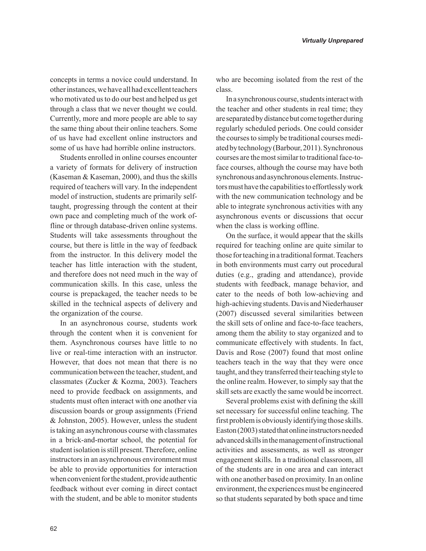concepts in terms a novice could understand. In other instances, we have all had excellent teachers who motivated us to do our best and helped us get through a class that we never thought we could. Currently, more and more people are able to say the same thing about their online teachers. Some of us have had excellent online instructors and some of us have had horrible online instructors.

Students enrolled in online courses encounter a variety of formats for delivery of instruction (Kaseman & Kaseman, 2000), and thus the skills required of teachers will vary. In the independent model of instruction, students are primarily selftaught, progressing through the content at their own pace and completing much of the work offline or through database-driven online systems. Students will take assessments throughout the course, but there is little in the way of feedback from the instructor. In this delivery model the teacher has little interaction with the student, and therefore does not need much in the way of communication skills. In this case, unless the course is prepackaged, the teacher needs to be skilled in the technical aspects of delivery and the organization of the course.

In an asynchronous course, students work through the content when it is convenient for them. Asynchronous courses have little to no live or real-time interaction with an instructor. However, that does not mean that there is no communication between the teacher, student, and classmates (Zucker & Kozma, 2003). Teachers need to provide feedback on assignments, and students must often interact with one another via discussion boards or group assignments (Friend & Johnston, 2005). However, unless the student is taking an asynchronous course with classmates in a brick-and-mortar school, the potential for student isolation is still present. Therefore, online instructors in an asynchronous environment must be able to provide opportunities for interaction when convenient for the student, provide authentic feedback without ever coming in direct contact with the student, and be able to monitor students who are becoming isolated from the rest of the class.

In a synchronous course, students interact with the teacher and other students in real time; they are separated by distance but come together during regularly scheduled periods. One could consider the courses to simply be traditional courses mediated by technology (Barbour, 2011). Synchronous courses are the most similar to traditional face-toface courses, although the course may have both synchronous and asynchronous elements. Instructors must have the capabilities to effortlessly work with the new communication technology and be able to integrate synchronous activities with any asynchronous events or discussions that occur when the class is working offline.

On the surface, it would appear that the skills required for teaching online are quite similar to those for teaching in a traditional format. Teachers in both environments must carry out procedural duties (e.g., grading and attendance), provide students with feedback, manage behavior, and cater to the needs of both low-achieving and high-achieving students. Davis and Niederhauser (2007) discussed several similarities between the skill sets of online and face-to-face teachers, among them the ability to stay organized and to communicate effectively with students. In fact, Davis and Rose (2007) found that most online teachers teach in the way that they were once taught, and they transferred their teaching style to the online realm. However, to simply say that the skill sets are exactly the same would be incorrect.

Several problems exist with defining the skill set necessary for successful online teaching. The first problem is obviously identifying those skills. Easton (2003) stated that online instructors needed advanced skills in the management of instructional activities and assessments, as well as stronger engagement skills. In a traditional classroom, all of the students are in one area and can interact with one another based on proximity. In an online environment, the experiences must be engineered so that students separated by both space and time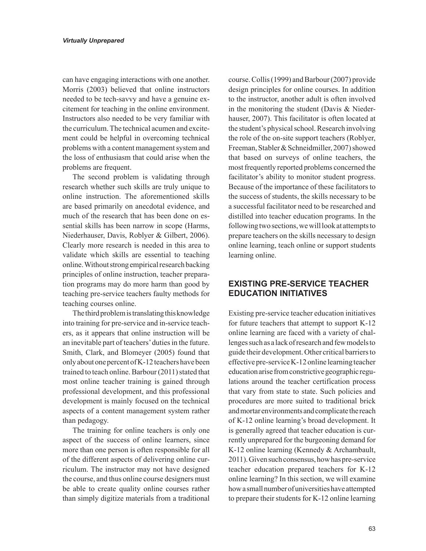can have engaging interactions with one another. Morris (2003) believed that online instructors needed to be tech-savvy and have a genuine excitement for teaching in the online environment. Instructors also needed to be very familiar with the curriculum. The technical acumen and excitement could be helpful in overcoming technical problems with a content management system and the loss of enthusiasm that could arise when the problems are frequent.

The second problem is validating through research whether such skills are truly unique to online instruction. The aforementioned skills are based primarily on anecdotal evidence, and much of the research that has been done on essential skills has been narrow in scope (Harms, Niederhauser, Davis, Roblyer & Gilbert, 2006). Clearly more research is needed in this area to validate which skills are essential to teaching online. Without strong empirical research backing principles of online instruction, teacher preparation programs may do more harm than good by teaching pre-service teachers faulty methods for teaching courses online.

The third problem is translating this knowledge into training for pre-service and in-service teachers, as it appears that online instruction will be an inevitable part of teachers' duties in the future. Smith, Clark, and Blomeyer (2005) found that only about one percent of K-12 teachers have been trained to teach online. Barbour (2011) stated that most online teacher training is gained through professional development, and this professional development is mainly focused on the technical aspects of a content management system rather than pedagogy.

The training for online teachers is only one aspect of the success of online learners, since more than one person is often responsible for all of the different aspects of delivering online curriculum. The instructor may not have designed the course, and thus online course designers must be able to create quality online courses rather than simply digitize materials from a traditional course. Collis (1999) and Barbour (2007) provide design principles for online courses. In addition to the instructor, another adult is often involved in the monitoring the student (Davis & Niederhauser, 2007). This facilitator is often located at the student's physical school. Research involving the role of the on-site support teachers (Roblyer, Freeman, Stabler & Schneidmiller, 2007) showed that based on surveys of online teachers, the most frequently reported problems concerned the facilitator's ability to monitor student progress. Because of the importance of these facilitators to the success of students, the skills necessary to be a successful facilitator need to be researched and distilled into teacher education programs. In the following two sections, we will look at attempts to prepare teachers on the skills necessary to design online learning, teach online or support students learning online.

#### **EXISTING PRE-SERVICE TEACHER EDUCATION INITIATIVES**

Existing pre-service teacher education initiatives for future teachers that attempt to support K-12 online learning are faced with a variety of challenges such as a lack of research and few models to guide their development. Other critical barriers to effective pre-service K-12 online learning teacher education arise from constrictive geographic regulations around the teacher certification process that vary from state to state. Such policies and procedures are more suited to traditional brick and mortar environments and complicate the reach of K-12 online learning's broad development. It is generally agreed that teacher education is currently unprepared for the burgeoning demand for K-12 online learning (Kennedy & Archambault, 2011). Given such consensus, how has pre-service teacher education prepared teachers for K-12 online learning? In this section, we will examine how a small number of universities have attempted to prepare their students for K-12 online learning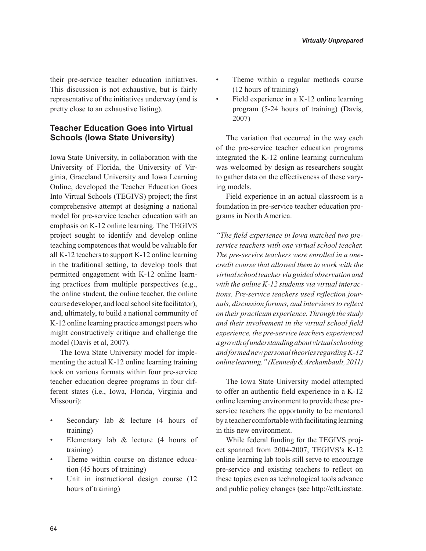their pre-service teacher education initiatives. This discussion is not exhaustive, but is fairly representative of the initiatives underway (and is pretty close to an exhaustive listing).

#### **Teacher Education Goes into Virtual Schools (Iowa State University)**

Iowa State University, in collaboration with the University of Florida, the University of Virginia, Graceland University and Iowa Learning Online, developed the Teacher Education Goes Into Virtual Schools (TEGIVS) project; the first comprehensive attempt at designing a national model for pre-service teacher education with an emphasis on K-12 online learning. The TEGIVS project sought to identify and develop online teaching competences that would be valuable for all K-12 teachers to support K-12 online learning in the traditional setting, to develop tools that permitted engagement with K-12 online learning practices from multiple perspectives (e.g., the online student, the online teacher, the online course developer, and local school site facilitator), and, ultimately, to build a national community of K-12 online learning practice amongst peers who might constructively critique and challenge the model (Davis et al, 2007).

The Iowa State University model for implementing the actual K-12 online learning training took on various formats within four pre-service teacher education degree programs in four different states (i.e., Iowa, Florida, Virginia and Missouri):

- Secondary lab & lecture (4 hours of training)
- Elementary lab  $&$  lecture (4 hours of training)
- Theme within course on distance education (45 hours of training)
- Unit in instructional design course (12 hours of training)
- Theme within a regular methods course (12 hours of training)
- Field experience in a K-12 online learning program (5-24 hours of training) (Davis, 2007)

The variation that occurred in the way each of the pre-service teacher education programs integrated the K-12 online learning curriculum was welcomed by design as researchers sought to gather data on the effectiveness of these varying models.

Field experience in an actual classroom is a foundation in pre-service teacher education programs in North America.

*"The field experience in Iowa matched two preservice teachers with one virtual school teacher. The pre-service teachers were enrolled in a onecredit course that allowed them to work with the virtual school teacher via guided observation and with the online K-12 students via virtual interactions. Pre-service teachers used reflection journals, discussion forums, and interviews to reflect on their practicum experience. Through the study and their involvement in the virtual school field experience, the pre-service teachers experienced a growth of understanding about virtual schooling and formed new personal theories regarding K-12 online learning." (Kennedy & Archambault, 2011)* 

The Iowa State University model attempted to offer an authentic field experience in a K-12 online learning environment to provide these preservice teachers the opportunity to be mentored by a teacher comfortable with facilitating learning in this new environment.

While federal funding for the TEGIVS project spanned from 2004-2007, TEGIVS's K-12 online learning lab tools still serve to encourage pre-service and existing teachers to reflect on these topics even as technological tools advance and public policy changes (see http://ctlt.iastate.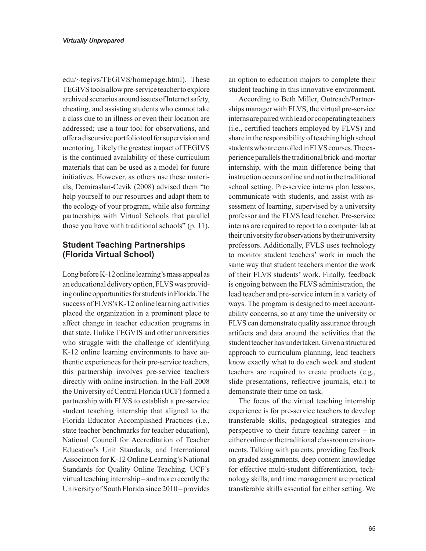edu/~tegivs/TEGIVS/homepage.html). These TEGIVS tools allow pre-service teacher to explore archived scenarios around issues of Internet safety, cheating, and assisting students who cannot take a class due to an illness or even their location are addressed; use a tour tool for observations, and offer a discursive portfolio tool for supervision and mentoring. Likely the greatest impact of TEGIVS is the continued availability of these curriculum materials that can be used as a model for future initiatives. However, as others use these materials, Demiraslan-Cevik (2008) advised them "to help yourself to our resources and adapt them to the ecology of your program, while also forming partnerships with Virtual Schools that parallel those you have with traditional schools" (p. 11).

#### **Student Teaching Partnerships (Florida Virtual School)**

Long before K-12 online learning's mass appeal as an educational delivery option, FLVS was providing online opportunities for students in Florida. The success of FLVS's K-12 online learning activities placed the organization in a prominent place to affect change in teacher education programs in that state. Unlike TEGVIS and other universities who struggle with the challenge of identifying K-12 online learning environments to have authentic experiences for their pre-service teachers, this partnership involves pre-service teachers directly with online instruction. In the Fall 2008 the University of Central Florida (UCF) formed a partnership with FLVS to establish a pre-service student teaching internship that aligned to the Florida Educator Accomplished Practices (i.e., state teacher benchmarks for teacher education), National Council for Accreditation of Teacher Education's Unit Standards, and International Association for K-12 Online Learning's National Standards for Quality Online Teaching. UCF's virtual teaching internship – and more recently the University of South Florida since 2010 – provides

an option to education majors to complete their student teaching in this innovative environment.

According to Beth Miller, Outreach/Partnerships manager with FLVS, the virtual pre-service interns are paired with lead or cooperating teachers (i.e., certified teachers employed by FLVS) and share in the responsibility of teaching high school students who are enrolled in FLVS courses. The experience parallels the traditional brick-and-mortar internship, with the main difference being that instruction occurs online and not in the traditional school setting. Pre-service interns plan lessons, communicate with students, and assist with assessment of learning, supervised by a university professor and the FLVS lead teacher. Pre-service interns are required to report to a computer lab at their university for observations by their university professors. Additionally, FVLS uses technology to monitor student teachers' work in much the same way that student teachers mentor the work of their FLVS students' work. Finally, feedback is ongoing between the FLVS administration, the lead teacher and pre-service intern in a variety of ways. The program is designed to meet accountability concerns, so at any time the university or FLVS can demonstrate quality assurance through artifacts and data around the activities that the student teacher has undertaken. Given a structured approach to curriculum planning, lead teachers know exactly what to do each week and student teachers are required to create products (e.g., slide presentations, reflective journals, etc.) to demonstrate their time on task.

The focus of the virtual teaching internship experience is for pre-service teachers to develop transferable skills, pedagogical strategies and perspective to their future teaching career – in either online or the traditional classroom environments. Talking with parents, providing feedback on graded assignments, deep content knowledge for effective multi-student differentiation, technology skills, and time management are practical transferable skills essential for either setting. We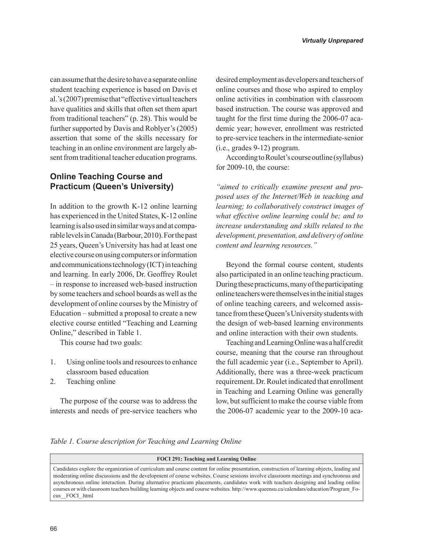can assume that the desire to have a separate online student teaching experience is based on Davis et al.'s (2007) premise that "effective virtual teachers have qualities and skills that often set them apart from traditional teachers" (p. 28). This would be further supported by Davis and Roblyer's (2005) assertion that some of the skills necessary for teaching in an online environment are largely absent from traditional teacher education programs.

#### **Online Teaching Course and Practicum (Queen's University)**

In addition to the growth K-12 online learning has experienced in the United States, K-12 online learning is also used in similar ways and at comparable levels in Canada (Barbour, 2010). For the past 25 years, Queen's University has had at least one elective course on using computers or information and communications technology (ICT) in teaching and learning. In early 2006, Dr. Geoffrey Roulet – in response to increased web-based instruction by some teachers and school boards as well as the development of online courses by the Ministry of Education – submitted a proposal to create a new elective course entitled "Teaching and Learning Online," described in Table 1.

This course had two goals:

- 1. Using online tools and resources to enhance classroom based education
- 2. Teaching online

The purpose of the course was to address the interests and needs of pre-service teachers who desired employment as developers and teachers of online courses and those who aspired to employ online activities in combination with classroom based instruction. The course was approved and taught for the first time during the 2006-07 academic year; however, enrollment was restricted to pre-service teachers in the intermediate-senior (i.e., grades 9-12) program.

According to Roulet's course outline (syllabus) for 2009-10, the course:

*"aimed to critically examine present and proposed uses of the Internet/Web in teaching and learning; to collaboratively construct images of what effective online learning could be; and to increase understanding and skills related to the development, presentation, and delivery of online content and learning resources."* 

Beyond the formal course content, students also participated in an online teaching practicum. During these practicums, many of the participating online teachers were themselves in the initial stages of online teaching careers, and welcomed assistance from these Queen's University students with the design of web-based learning environments and online interaction with their own students.

Teaching and Learning Online was a half credit course, meaning that the course ran throughout the full academic year (i.e., September to April). Additionally, there was a three-week practicum requirement. Dr. Roulet indicated that enrollment in Teaching and Learning Online was generally low, but sufficient to make the course viable from the 2006-07 academic year to the 2009-10 aca-

*Table 1. Course description for Teaching and Learning Online* 

#### **FOCI 291: Teaching and Learning Online**

Candidates explore the organization of curriculum and course content for online presentation, construction of learning objects, leading and moderating online discussions and the development of course websites. Course sessions involve classroom meetings and synchronous and asynchronous online interaction. During alternative practicum placements, candidates work with teachers designing and leading online courses or with classroom teachers building learning objects and course websites. http://www.queensu.ca/calendars/education/Program\_Focus\_\_FOCI\_.html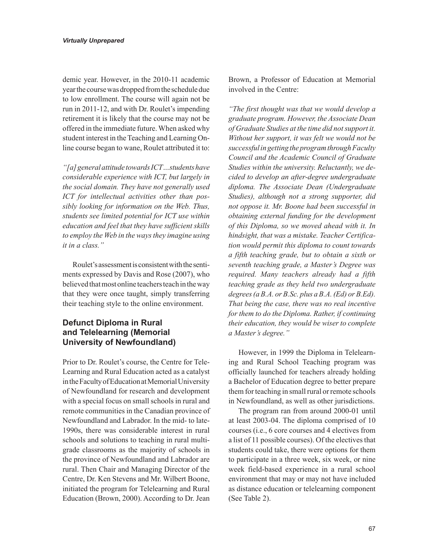demic year. However, in the 2010-11 academic year the course was dropped from the schedule due to low enrollment. The course will again not be run in 2011-12, and with Dr. Roulet's impending retirement it is likely that the course may not be offered in the immediate future. When asked why student interest in the Teaching and Learning Online course began to wane, Roulet attributed it to:

*"[a] general attitude towards ICT…students have considerable experience with ICT, but largely in the social domain. They have not generally used ICT for intellectual activities other than possibly looking for information on the Web. Thus, students see limited potential for ICT use within education and feel that they have sufficient skills to employ the Web in the ways they imagine using it in a class."* 

Roulet's assessment is consistent with the sentiments expressed by Davis and Rose (2007), who believed that most online teachers teach in the way that they were once taught, simply transferring their teaching style to the online environment.

#### **Defunct Diploma in Rural and Telelearning (Memorial University of Newfoundland)**

Prior to Dr. Roulet's course, the Centre for Tele-Learning and Rural Education acted as a catalyst in the Faculty of Education at Memorial University of Newfoundland for research and development with a special focus on small schools in rural and remote communities in the Canadian province of Newfoundland and Labrador. In the mid- to late-1990s, there was considerable interest in rural schools and solutions to teaching in rural multigrade classrooms as the majority of schools in the province of Newfoundland and Labrador are rural. Then Chair and Managing Director of the Centre, Dr. Ken Stevens and Mr. Wilbert Boone, initiated the program for Telelearning and Rural Education (Brown, 2000). According to Dr. Jean

Brown, a Professor of Education at Memorial involved in the Centre:

*"The first thought was that we would develop a graduate program. However, the Associate Dean of Graduate Studies at the time did not support it. Without her support, it was felt we would not be successful in getting the program through Faculty Council and the Academic Council of Graduate Studies within the university. Reluctantly, we decided to develop an after-degree undergraduate diploma. The Associate Dean (Undergraduate Studies), although not a strong supporter, did not oppose it. Mr. Boone had been successful in obtaining external funding for the development of this Diploma, so we moved ahead with it. In hindsight, that was a mistake. Teacher Certification would permit this diploma to count towards a fifth teaching grade, but to obtain a sixth or seventh teaching grade, a Master's Degree was required. Many teachers already had a fifth teaching grade as they held two undergraduate degrees (a B.A. or B.Sc. plus a B.A. (Ed) or B.Ed). That being the case, there was no real incentive for them to do the Diploma. Rather, if continuing their education, they would be wiser to complete a Master's degree."* 

However, in 1999 the Diploma in Telelearning and Rural School Teaching program was officially launched for teachers already holding a Bachelor of Education degree to better prepare them for teaching in small rural or remote schools in Newfoundland, as well as other jurisdictions.

The program ran from around 2000-01 until at least 2003-04. The diploma comprised of 10 courses (i.e., 6 core courses and 4 electives from a list of 11 possible courses). Of the electives that students could take, there were options for them to participate in a three week, six week, or nine week field-based experience in a rural school environment that may or may not have included as distance education or telelearning component (See Table 2).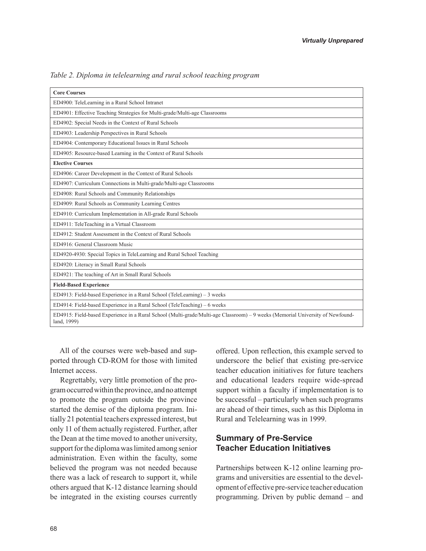| <b>Core Courses</b>                                                                                                                           |
|-----------------------------------------------------------------------------------------------------------------------------------------------|
| ED4900: TeleLearning in a Rural School Intranet                                                                                               |
| ED4901: Effective Teaching Strategies for Multi-grade/Multi-age Classrooms                                                                    |
| ED4902: Special Needs in the Context of Rural Schools                                                                                         |
| ED4903: Leadership Perspectives in Rural Schools                                                                                              |
| ED4904: Contemporary Educational Issues in Rural Schools                                                                                      |
| ED4905: Resource-based Learning in the Context of Rural Schools                                                                               |
| <b>Elective Courses</b>                                                                                                                       |
| ED4906: Career Development in the Context of Rural Schools                                                                                    |
| ED4907: Curriculum Connections in Multi-grade/Multi-age Classrooms                                                                            |
| ED4908: Rural Schools and Community Relationships                                                                                             |
| ED4909: Rural Schools as Community Learning Centres                                                                                           |
| ED4910: Curriculum Implementation in All-grade Rural Schools                                                                                  |
| ED4911: TeleTeaching in a Virtual Classroom                                                                                                   |
| ED4912: Student Assessment in the Context of Rural Schools                                                                                    |
| ED4916: General Classroom Music                                                                                                               |
| ED4920-4930: Special Topics in TeleLearning and Rural School Teaching                                                                         |
| ED4920: Literacy in Small Rural Schools                                                                                                       |
| ED4921: The teaching of Art in Small Rural Schools                                                                                            |
| <b>Field-Based Experience</b>                                                                                                                 |
| ED4913: Field-based Experience in a Rural School (TeleLearning) - 3 weeks                                                                     |
| ED4914: Field-based Experience in a Rural School (TeleTeaching) - 6 weeks                                                                     |
| ED4915: Field-based Experience in a Rural School (Multi-grade/Multi-age Classroom) - 9 weeks (Memorial University of Newfound-<br>land, 1999) |

*Table 2. Diploma in telelearning and rural school teaching program* 

All of the courses were web-based and supported through CD-ROM for those with limited Internet access.

Regrettably, very little promotion of the program occurred within the province, and no attempt to promote the program outside the province started the demise of the diploma program. Initially 21 potential teachers expressed interest, but only 11 of them actually registered. Further, after the Dean at the time moved to another university, support for the diploma was limited among senior administration. Even within the faculty, some believed the program was not needed because there was a lack of research to support it, while others argued that K-12 distance learning should be integrated in the existing courses currently offered. Upon reflection, this example served to underscore the belief that existing pre-service teacher education initiatives for future teachers and educational leaders require wide-spread support within a faculty if implementation is to be successful – particularly when such programs are ahead of their times, such as this Diploma in Rural and Telelearning was in 1999.

#### **Summary of Pre-Service Teacher Education Initiatives**

Partnerships between K-12 online learning programs and universities are essential to the development of effective pre-service teacher education programming. Driven by public demand – and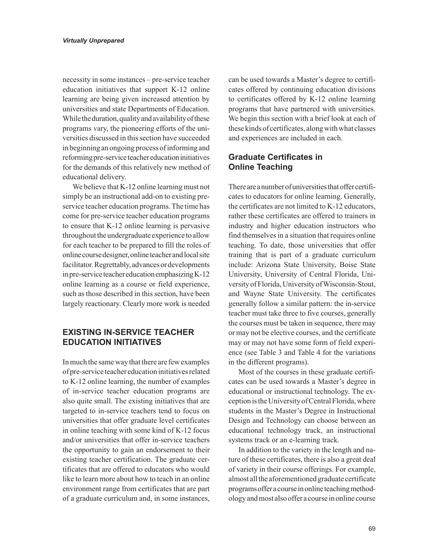necessity in some instances – pre-service teacher education initiatives that support K-12 online learning are being given increased attention by universities and state Departments of Education. While the duration, quality and availability of these programs vary, the pioneering efforts of the universities discussed in this section have succeeded in beginning an ongoing process of informing and reforming pre-service teacher education initiatives for the demands of this relatively new method of educational delivery.

We believe that K-12 online learning must not simply be an instructional add-on to existing preservice teacher education programs. The time has come for pre-service teacher education programs to ensure that K-12 online learning is pervasive throughout the undergraduate experience to allow for each teacher to be prepared to fill the roles of online course designer, online teacher and local site facilitator. Regrettably, advances or developments in pre-service teacher education emphasizing K-12 online learning as a course or field experience, such as those described in this section, have been largely reactionary. Clearly more work is needed

#### **EXISTING IN-SERVICE TEACHER EDUCATION INITIATIVES**

In much the same way that there are few examples of pre-service teacher education initiatives related to K-12 online learning, the number of examples of in-service teacher education programs are also quite small. The existing initiatives that are targeted to in-service teachers tend to focus on universities that offer graduate level certificates in online teaching with some kind of K-12 focus and/or universities that offer in-service teachers the opportunity to gain an endorsement to their existing teacher certification. The graduate certificates that are offered to educators who would like to learn more about how to teach in an online environment range from certificates that are part of a graduate curriculum and, in some instances, can be used towards a Master's degree to certificates offered by continuing education divisions to certificates offered by K-12 online learning programs that have partnered with universities. We begin this section with a brief look at each of these kinds of certificates, along with what classes and experiences are included in each.

#### **Graduate Certificates in Online Teaching**

There are a number of universities that offer certificates to educators for online learning. Generally, the certificates are not limited to K-12 educators, rather these certificates are offered to trainers in industry and higher education instructors who find themselves in a situation that requires online teaching. To date, those universities that offer training that is part of a graduate curriculum include: Arizona State University, Boise State University, University of Central Florida, University of Florida, University of Wisconsin-Stout, and Wayne State University. The certificates generally follow a similar pattern: the in-service teacher must take three to five courses, generally the courses must be taken in sequence, there may or may not be elective courses, and the certificate may or may not have some form of field experience (see Table 3 and Table 4 for the variations in the different programs).

Most of the courses in these graduate certificates can be used towards a Master's degree in educational or instructional technology. The exception is the University of Central Florida, where students in the Master's Degree in Instructional Design and Technology can choose between an educational technology track, an instructional systems track or an e-learning track.

In addition to the variety in the length and nature of these certificates, there is also a great deal of variety in their course offerings. For example, almost all the aforementioned graduate certificate programs offer a course in online teaching methodology and most also offer a course in online course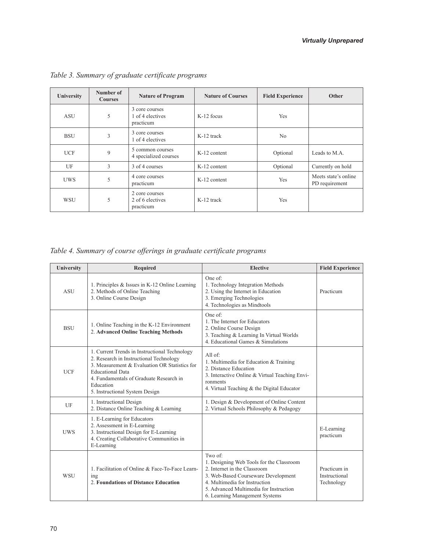| University | Number of<br><b>Courses</b> | <b>Nature of Program</b>                        | <b>Nature of Courses</b> | <b>Field Experience</b> | Other                                  |
|------------|-----------------------------|-------------------------------------------------|--------------------------|-------------------------|----------------------------------------|
| <b>ASU</b> | 5                           | 3 core courses<br>1 of 4 electives<br>practicum | K-12 focus               | Yes                     |                                        |
| <b>BSU</b> | 3                           | 3 core courses<br>1 of 4 electives              | K-12 track               | N <sub>0</sub>          |                                        |
| <b>UCF</b> | 9                           | 5 common courses<br>4 specialized courses       | K-12 content             | Optional                | Leads to M.A.                          |
| UF         | 3                           | 3 of 4 courses                                  | K-12 content             | Optional                | Currently on hold                      |
| <b>UWS</b> | 5                           | 4 core courses<br>practicum                     | K-12 content             | Yes                     | Meets state's online<br>PD requirement |
| <b>WSU</b> | 5                           | 2 core courses<br>2 of 6 electives<br>practicum | K-12 track               | Yes                     |                                        |

*Table 3. Summary of graduate certificate programs* 

*Table 4. Summary of course offerings in graduate certificate programs* 

| University | <b>Required</b>                                                                                                                                                                                                                                                | <b>Elective</b>                                                                                                                                                                                                                         | <b>Field Experience</b>                     |
|------------|----------------------------------------------------------------------------------------------------------------------------------------------------------------------------------------------------------------------------------------------------------------|-----------------------------------------------------------------------------------------------------------------------------------------------------------------------------------------------------------------------------------------|---------------------------------------------|
| <b>ASU</b> | 1. Principles & Issues in K-12 Online Learning<br>2. Methods of Online Teaching<br>3. Online Course Design                                                                                                                                                     | One of:<br>1. Technology Integration Methods<br>2. Using the Internet in Education<br>3. Emerging Technologies<br>4. Technologies as Mindtools                                                                                          | Practicum                                   |
| <b>BSU</b> | 1. Online Teaching in the K-12 Environment<br>2. Advanced Online Teaching Methods                                                                                                                                                                              | One of:<br>1. The Internet for Educators<br>2. Online Course Design<br>3. Teaching & Learning In Virtual Worlds<br>4. Educational Games & Simulations                                                                                   |                                             |
| <b>UCF</b> | 1. Current Trends in Instructional Technology<br>2. Research in Instructional Technology<br>3. Measurement & Evaluation OR Statistics for<br><b>Educational Data</b><br>4. Fundamentals of Graduate Research in<br>Education<br>5. Instructional System Design | All of:<br>1. Multimedia for Education & Training<br>2. Distance Education<br>3. Interactive Online & Virtual Teaching Envi-<br>ronments<br>4. Virtual Teaching $\&$ the Digital Educator                                               |                                             |
| UF         | 1. Instructional Design<br>2. Distance Online Teaching & Learning                                                                                                                                                                                              | 1. Design & Development of Online Content<br>2. Virtual Schools Philosophy & Pedagogy                                                                                                                                                   |                                             |
| <b>UWS</b> | 1. E-Learning for Educators<br>2. Assessment in E-Learning<br>3. Instructional Design for E-Learning<br>4. Creating Collaborative Communities in<br>E-Learning                                                                                                 |                                                                                                                                                                                                                                         | E-Learning<br>practicum                     |
| <b>WSU</b> | 1. Facilitation of Online & Face-To-Face Learn-<br>ing<br>2. Foundations of Distance Education                                                                                                                                                                 | Two of:<br>1. Designing Web Tools for the Classroom<br>2. Internet in the Classroom<br>3. Web-Based Courseware Development<br>4. Multimedia for Instruction<br>5. Advanced Multimedia for Instruction<br>6. Learning Management Systems | Practicum in<br>Instructional<br>Technology |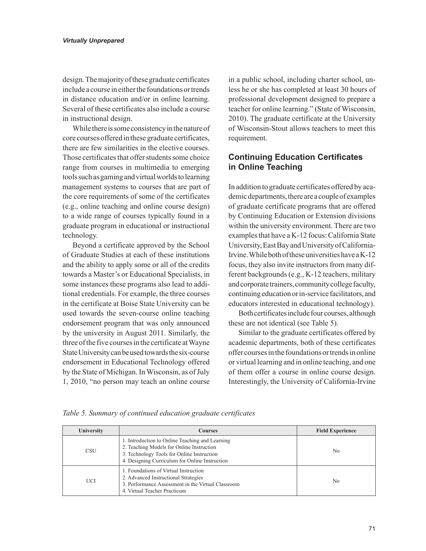design. The majority of these graduate certificates include a course in either the foundations or trends in distance education and/or in online learning. Several of these certificates also include a course in instructional design.

While there is some consistency in the nature of core courses offered in these graduate certificates, there are few similarities in the elective courses. Those certificates that offer students some choice range from courses in multimedia to emerging tools such as gaming and virtual worlds to learning management systems to courses that are part of the core requirements of some of the certificates (e.g., online teaching and online course design) to a wide range of courses typically found in a graduate program in educational or instructional technology.

Beyond a certificate approved by the School of Graduate Studies at each of these institutions and the ability to apply some or all of the credits towards a Master's or Educational Specialists, in some instances these programs also lead to additional credentials. For example, the three courses in the certificate at Boise State University can be used towards the seven-course online teaching endorsement program that was only announced by the university in August 2011. Similarly, the three of the five courses in the certificate at Wayne State University can be used towards the six-course endorsement in Educational Technology offered by the State of Michigan. In Wisconsin, as of July 1, 2010, "no person may teach an online course

in a public school, including charter school, unless he or she has completed at least 30 hours of professional development designed to prepare a teacher for online learning." (State of Wisconsin, 2010). The graduate certificate at the University of Wisconsin-Stout allows teachers to meet this requirement.

#### **Continuing Education Certificates in Online Teaching**

In addition to graduate certificates offered by academic departments, there are a couple of examples of graduate certificate programs that are offered by Continuing Education or Extension divisions within the university environment. There are two examples that have a K-12 focus: California State University, East Bay and University of California-Irvine. While both of these universities have a K-12 focus, they also invite instructors from many different backgrounds (e.g., K-12 teachers, military and corporate trainers, community college faculty, continuing education or in-service facilitators, and educators interested in educational technology).

Both certificates include four courses, although these are not identical (see Table 5).

Similar to the graduate certificates offered by academic departments, both of these certificates offer courses in the foundations or trends in online or virtual learning and in online teaching, and one of them offer a course in online course design. Interestingly, the University of California-Irvine

*Table 5. Summary of continued education graduate certificates* 

| University | Courses                                                                                                                                                                                      | <b>Field Experience</b> |
|------------|----------------------------------------------------------------------------------------------------------------------------------------------------------------------------------------------|-------------------------|
| <b>CSU</b> | 1. Introduction to Online Teaching and Learning<br>2. Teaching Models for Online Instruction<br>3. Technology Tools for Online Instruction<br>4. Designing Curriculum for Online Instruction | N <sub>0</sub>          |
| UCI        | 1. Foundations of Virtual Instruction<br>2. Advanced Instructional Strategies<br>3. Performance Assessment in the Virtual Classroom<br>4. Virtual Teacher Practicum                          | No.                     |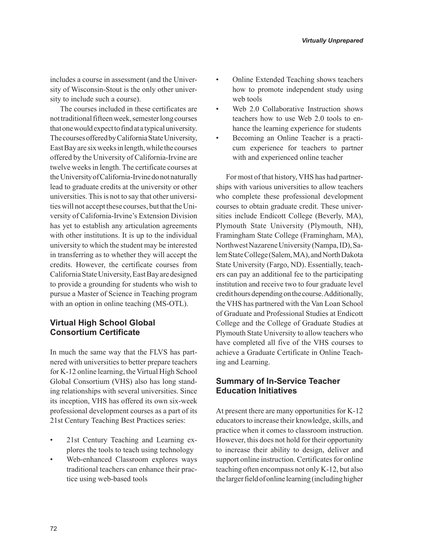includes a course in assessment (and the University of Wisconsin-Stout is the only other university to include such a course).

The courses included in these certificates are not traditional fifteen week, semester long courses that one would expect to find at a typical university. The courses offered by California State University, East Bay are six weeks in length, while the courses offered by the University of California-Irvine are twelve weeks in length. The certificate courses at the University of California-Irvine do not naturally lead to graduate credits at the university or other universities. This is not to say that other universities will not accept these courses, but that the University of California-Irvine's Extension Division has yet to establish any articulation agreements with other institutions. It is up to the individual university to which the student may be interested in transferring as to whether they will accept the credits. However, the certificate courses from California State University, East Bay are designed to provide a grounding for students who wish to pursue a Master of Science in Teaching program with an option in online teaching (MS-OTL).

## **Virtual High School Global Consortium Certificate**

In much the same way that the FLVS has partnered with universities to better prepare teachers for K-12 online learning, the Virtual High School Global Consortium (VHS) also has long standing relationships with several universities. Since its inception, VHS has offered its own six-week professional development courses as a part of its 21st Century Teaching Best Practices series:

- 21st Century Teaching and Learning explores the tools to teach using technology
- Web-enhanced Classroom explores ways traditional teachers can enhance their practice using web-based tools
- Online Extended Teaching shows teachers how to promote independent study using web tools
- Web 2.0 Collaborative Instruction shows teachers how to use Web 2.0 tools to enhance the learning experience for students
- Becoming an Online Teacher is a practicum experience for teachers to partner with and experienced online teacher

For most of that history, VHS has had partnerships with various universities to allow teachers who complete these professional development courses to obtain graduate credit. These universities include Endicott College (Beverly, MA), Plymouth State University (Plymouth, NH), Framingham State College (Framingham, MA), Northwest Nazarene University (Nampa, ID), Salem State College (Salem, MA), and North Dakota State University (Fargo, ND). Essentially, teachers can pay an additional fee to the participating institution and receive two to four graduate level credit hours depending on the course. Additionally, the VHS has partnered with the Van Loan School of Graduate and Professional Studies at Endicott College and the College of Graduate Studies at Plymouth State University to allow teachers who have completed all five of the VHS courses to achieve a Graduate Certificate in Online Teaching and Learning.

#### **Summary of In-Service Teacher Education Initiatives**

At present there are many opportunities for K-12 educators to increase their knowledge, skills, and practice when it comes to classroom instruction. However, this does not hold for their opportunity to increase their ability to design, deliver and support online instruction. Certificates for online teaching often encompass not only K-12, but also the larger field of online learning (including higher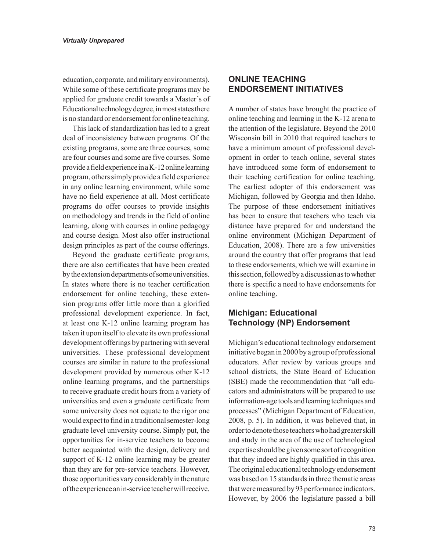education, corporate, and military environments). While some of these certificate programs may be applied for graduate credit towards a Master's of Educational technology degree, in most states there is no standard or endorsement for online teaching.

This lack of standardization has led to a great deal of inconsistency between programs. Of the existing programs, some are three courses, some are four courses and some are five courses. Some provide a field experience in a K-12 online learning program, others simply provide a field experience in any online learning environment, while some have no field experience at all. Most certificate programs do offer courses to provide insights on methodology and trends in the field of online learning, along with courses in online pedagogy and course design. Most also offer instructional design principles as part of the course offerings.

Beyond the graduate certificate programs, there are also certificates that have been created by the extension departments of some universities. In states where there is no teacher certification endorsement for online teaching, these extension programs offer little more than a glorified professional development experience. In fact, at least one K-12 online learning program has taken it upon itself to elevate its own professional development offerings by partnering with several universities. These professional development courses are similar in nature to the professional development provided by numerous other K-12 online learning programs, and the partnerships to receive graduate credit hours from a variety of universities and even a graduate certificate from some university does not equate to the rigor one would expect to find in a traditional semester-long graduate level university course. Simply put, the opportunities for in-service teachers to become better acquainted with the design, delivery and support of K-12 online learning may be greater than they are for pre-service teachers. However, those opportunities vary considerably in the nature of the experience an in-service teacher will receive.

#### **ONLINE TEACHING ENDORSEMENT INITIATIVES**

A number of states have brought the practice of online teaching and learning in the K-12 arena to the attention of the legislature. Beyond the 2010 Wisconsin bill in 2010 that required teachers to have a minimum amount of professional development in order to teach online, several states have introduced some form of endorsement to their teaching certification for online teaching. The earliest adopter of this endorsement was Michigan, followed by Georgia and then Idaho. The purpose of these endorsement initiatives has been to ensure that teachers who teach via distance have prepared for and understand the online environment (Michigan Department of Education, 2008). There are a few universities around the country that offer programs that lead to these endorsements, which we will examine in this section, followed by a discussion as to whether there is specific a need to have endorsements for online teaching.

## **Michigan: Educational Technology (NP) Endorsement**

Michigan's educational technology endorsement initiative began in 2000 by a group of professional educators. After review by various groups and school districts, the State Board of Education (SBE) made the recommendation that "all educators and administrators will be prepared to use information-age tools and learning techniques and processes" (Michigan Department of Education, 2008, p. 5). In addition, it was believed that, in order to denote those teachers who had greater skill and study in the area of the use of technological expertise should be given some sort of recognition that they indeed are highly qualified in this area. The original educational technology endorsement was based on 15 standards in three thematic areas that were measured by 93 performance indicators. However, by 2006 the legislature passed a bill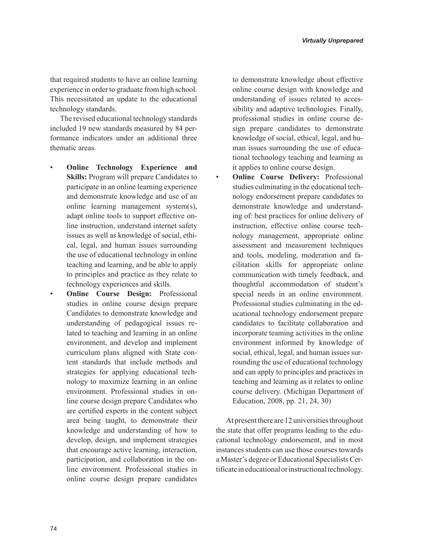that required students to have an online learning experience in order to graduate from high school. This necessitated an update to the educational technology standards.

The revised educational technology standards included 19 new standards measured by 84 performance indicators under an additional three thematic areas.

- **Online Technology Experience and Skills:** Program will prepare Candidates to participate in an online learning experience and demonstrate knowledge and use of an online learning management system(s), adapt online tools to support effective online instruction, understand internet safety issues as well as knowledge of social, ethical, legal, and human issues surrounding the use of educational technology in online teaching and learning, and be able to apply to principles and practice as they relate to technology experiences and skills.
- **Online Course Design:** Professional studies in online course design prepare Candidates to demonstrate knowledge and understanding of pedagogical issues related to teaching and learning in an online environment, and develop and implement curriculum plans aligned with State content standards that include methods and strategies for applying educational technology to maximize learning in an online environment. Professional studies in online course design prepare Candidates who are certified experts in the content subject area being taught, to demonstrate their knowledge and understanding of how to develop, design, and implement strategies that encourage active learning, interaction, participation, and collaboration in the online environment. Professional studies in online course design prepare candidates

to demonstrate knowledge about effective online course design with knowledge and understanding of issues related to accessibility and adaptive technologies. Finally, professional studies in online course design prepare candidates to demonstrate knowledge of social, ethical, legal, and human issues surrounding the use of educational technology teaching and learning as it applies to online course design.

• **Online Course Delivery:** Professional studies culminating in the educational technology endorsement prepare candidates to demonstrate knowledge and understanding of: best practices for online delivery of instruction, effective online course technology management, appropriate online assessment and measurement techniques and tools, modeling, moderation and facilitation skills for appropriate online communication with timely feedback, and thoughtful accommodation of student's special needs in an online environment. Professional studies culminating in the educational technology endorsement prepare candidates to facilitate collaboration and incorporate teaming activities in the online environment informed by knowledge of social, ethical, legal, and human issues surrounding the use of educational technology and can apply to principles and practices in teaching and learning as it relates to online course delivery. (Michigan Department of Education, 2008, pp. 21, 24, 30)

At present there are 12 universities throughout the state that offer programs leading to the educational technology endorsement, and in most instances students can use those courses towards a Master's degree or Educational Specialists Certificate in educational or instructional technology.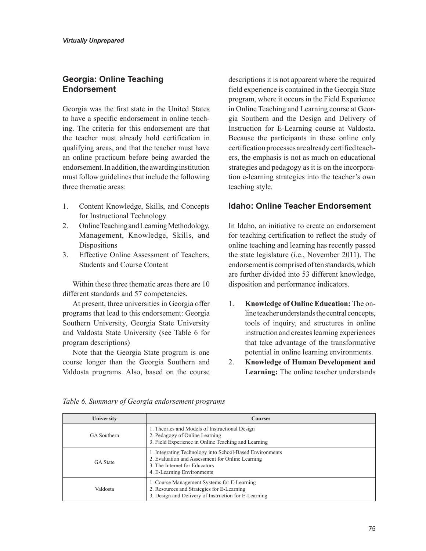## **Georgia: Online Teaching Endorsement**

Georgia was the first state in the United States to have a specific endorsement in online teaching. The criteria for this endorsement are that the teacher must already hold certification in qualifying areas, and that the teacher must have an online practicum before being awarded the endorsement. In addition, the awarding institution must follow guidelines that include the following three thematic areas:

- 1. Content Knowledge, Skills, and Concepts for Instructional Technology
- 2. Online Teaching and Learning Methodology, Management, Knowledge, Skills, and Dispositions
- 3. Effective Online Assessment of Teachers, Students and Course Content

Within these three thematic areas there are 10 different standards and 57 competencies.

At present, three universities in Georgia offer programs that lead to this endorsement: Georgia Southern University, Georgia State University and Valdosta State University (see Table 6 for program descriptions)

Note that the Georgia State program is one course longer than the Georgia Southern and Valdosta programs. Also, based on the course descriptions it is not apparent where the required field experience is contained in the Georgia State program, where it occurs in the Field Experience in Online Teaching and Learning course at Georgia Southern and the Design and Delivery of Instruction for E-Learning course at Valdosta. Because the participants in these online only certification processes are already certified teachers, the emphasis is not as much on educational strategies and pedagogy as it is on the incorporation e-learning strategies into the teacher's own teaching style.

## **Idaho: Online Teacher Endorsement**

In Idaho, an initiative to create an endorsement for teaching certification to reflect the study of online teaching and learning has recently passed the state legislature (i.e., November 2011). The endorsement is comprised of ten standards, which are further divided into 53 different knowledge, disposition and performance indicators.

- 1. **Knowledge of Online Education:** The online teacher understands the central concepts, tools of inquiry, and structures in online instruction and creates learning experiences that take advantage of the transformative potential in online learning environments.
- 2. **Knowledge of Human Development and Learning:** The online teacher understands

| University         | <b>Courses</b>                                                                                                                                                              |
|--------------------|-----------------------------------------------------------------------------------------------------------------------------------------------------------------------------|
| <b>GA</b> Southern | 1. Theories and Models of Instructional Design<br>2. Pedagogy of Online Learning<br>3. Field Experience in Online Teaching and Learning                                     |
| <b>GA</b> State    | 1. Integrating Technology into School-Based Environments<br>2. Evaluation and Assessment for Online Learning<br>3. The Internet for Educators<br>4. E-Learning Environments |
| Valdosta           | 1. Course Management Systems for E-Learning<br>2. Resources and Strategies for E-Learning<br>3. Design and Delivery of Instruction for E-Learning                           |

*Table 6. Summary of Georgia endorsement programs*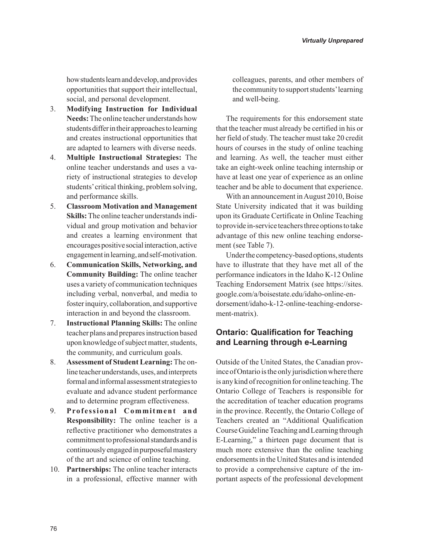how students learn and develop, and provides opportunities that support their intellectual, social, and personal development.

- 3. **Modifying Instruction for Individual Needs:** The online teacher understands how students differ in their approaches to learning and creates instructional opportunities that are adapted to learners with diverse needs.
- 4. **Multiple Instructional Strategies:** The online teacher understands and uses a variety of instructional strategies to develop students' critical thinking, problem solving, and performance skills.
- 5. **Classroom Motivation and Management Skills:** The online teacher understands individual and group motivation and behavior and creates a learning environment that encourages positive social interaction, active engagement in learning, and self-motivation.
- 6. **Communication Skills, Networking, and Community Building:** The online teacher uses a variety of communication techniques including verbal, nonverbal, and media to foster inquiry, collaboration, and supportive interaction in and beyond the classroom.
- 7. **Instructional Planning Skills:** The online teacher plans and prepares instruction based upon knowledge of subject matter, students, the community, and curriculum goals.
- 8. **Assessment of Student Learning:** The online teacher understands, uses, and interprets formal and informal assessment strategies to evaluate and advance student performance and to determine program effectiveness.
- 9. **Professional Commitment and Responsibility:** The online teacher is a reflective practitioner who demonstrates a commitment to professional standards and is continuously engaged in purposeful mastery of the art and science of online teaching.
- 10. **Partnerships:** The online teacher interacts in a professional, effective manner with

colleagues, parents, and other members of the community to support students' learning and well-being.

The requirements for this endorsement state that the teacher must already be certified in his or her field of study. The teacher must take 20 credit hours of courses in the study of online teaching and learning. As well, the teacher must either take an eight-week online teaching internship or have at least one year of experience as an online teacher and be able to document that experience.

With an announcement in August 2010, Boise State University indicated that it was building upon its Graduate Certificate in Online Teaching to provide in-service teachers three options to take advantage of this new online teaching endorsement (see Table 7).

Under the competency-based options, students have to illustrate that they have met all of the performance indicators in the Idaho K-12 Online Teaching Endorsement Matrix (see https://sites. google.com/a/boisestate.edu/idaho-online-endorsement/idaho-k-12-online-teaching-endorsement-matrix).

#### **Ontario: Qualification for Teaching and Learning through e-Learning**

Outside of the United States, the Canadian province of Ontario is the only jurisdiction where there is any kind of recognition for online teaching. The Ontario College of Teachers is responsible for the accreditation of teacher education programs in the province. Recently, the Ontario College of Teachers created an "Additional Qualification Course Guideline Teaching and Learning through E-Learning," a thirteen page document that is much more extensive than the online teaching endorsements in the United States and is intended to provide a comprehensive capture of the important aspects of the professional development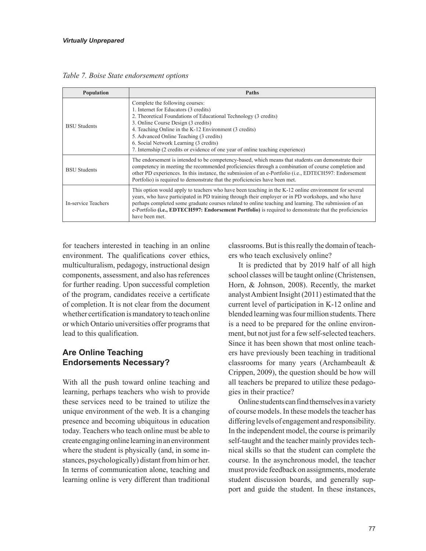| Population          | Paths                                                                                                                                                                                                                                                                                                                                                                                                                                             |
|---------------------|---------------------------------------------------------------------------------------------------------------------------------------------------------------------------------------------------------------------------------------------------------------------------------------------------------------------------------------------------------------------------------------------------------------------------------------------------|
| <b>BSU</b> Students | Complete the following courses:<br>1. Internet for Educators (3 credits)<br>2. Theoretical Foundations of Educational Technology (3 credits)<br>3. Online Course Design (3 credits)<br>4. Teaching Online in the K-12 Environment (3 credits)<br>5. Advanced Online Teaching (3 credits)<br>6. Social Network Learning (3 credits)<br>7. Internship (2 credits or evidence of one year of online teaching experience)                             |
| <b>BSU</b> Students | The endorsement is intended to be competency-based, which means that students can demonstrate their<br>competency in meeting the recommended proficiencies through a combination of course completion and<br>other PD experiences. In this instance, the submission of an e-Portfolio (i.e., EDTECH597: Endorsement<br>Portfolio) is required to demonstrate that the proficiencies have been met.                                                |
| In-service Teachers | This option would apply to teachers who have been teaching in the K-12 online environment for several<br>years, who have participated in PD training through their employer or in PD workshops, and who have<br>perhaps completed some graduate courses related to online teaching and learning. The submission of an<br>e-Portfolio (i.e., EDTECH597: Endorsement Portfolio) is required to demonstrate that the proficiencies<br>have been met. |

*Table 7. Boise State endorsement options* 

for teachers interested in teaching in an online environment. The qualifications cover ethics, multiculturalism, pedagogy, instructional design components, assessment, and also has references for further reading. Upon successful completion of the program, candidates receive a certificate of completion. It is not clear from the document whether certification is mandatory to teach online or which Ontario universities offer programs that lead to this qualification.

#### **Are Online Teaching Endorsements Necessary?**

With all the push toward online teaching and learning, perhaps teachers who wish to provide these services need to be trained to utilize the unique environment of the web. It is a changing presence and becoming ubiquitous in education today. Teachers who teach online must be able to create engaging online learning in an environment where the student is physically (and, in some instances, psychologically) distant from him or her. In terms of communication alone, teaching and learning online is very different than traditional classrooms. But is this really the domain of teachers who teach exclusively online?

It is predicted that by 2019 half of all high school classes will be taught online (Christensen, Horn, & Johnson, 2008). Recently, the market analyst Ambient Insight (2011) estimated that the current level of participation in K-12 online and blended learning was four million students. There is a need to be prepared for the online environment, but not just for a few self-selected teachers. Since it has been shown that most online teachers have previously been teaching in traditional classrooms for many years (Archambeault & Crippen, 2009), the question should be how will all teachers be prepared to utilize these pedagogies in their practice?

Online students can find themselves in a variety of course models. In these models the teacher has differing levels of engagement and responsibility. In the independent model, the course is primarily self-taught and the teacher mainly provides technical skills so that the student can complete the course. In the asynchronous model, the teacher must provide feedback on assignments, moderate student discussion boards, and generally support and guide the student. In these instances,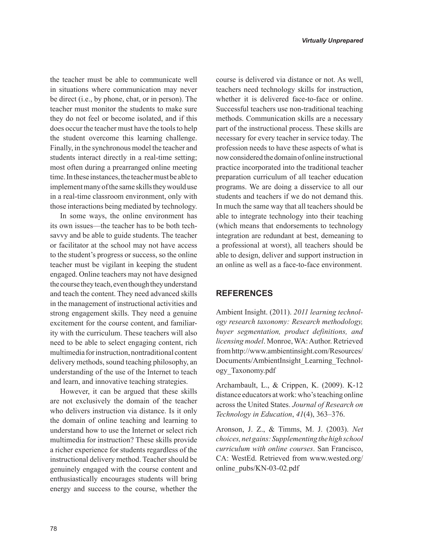the teacher must be able to communicate well in situations where communication may never be direct (i.e., by phone, chat, or in person). The teacher must monitor the students to make sure they do not feel or become isolated, and if this does occur the teacher must have the tools to help the student overcome this learning challenge. Finally, in the synchronous model the teacher and students interact directly in a real-time setting; most often during a prearranged online meeting time. In these instances, the teacher must be able to implement many of the same skills they would use in a real-time classroom environment, only with those interactions being mediated by technology.

In some ways, the online environment has its own issues—the teacher has to be both techsavvy and be able to guide students. The teacher or facilitator at the school may not have access to the student's progress or success, so the online teacher must be vigilant in keeping the student engaged. Online teachers may not have designed the course they teach, even though they understand and teach the content. They need advanced skills in the management of instructional activities and strong engagement skills. They need a genuine excitement for the course content, and familiarity with the curriculum. These teachers will also need to be able to select engaging content, rich multimedia for instruction, nontraditional content delivery methods, sound teaching philosophy, an understanding of the use of the Internet to teach and learn, and innovative teaching strategies.

However, it can be argued that these skills are not exclusively the domain of the teacher who delivers instruction via distance. Is it only the domain of online teaching and learning to understand how to use the Internet or select rich multimedia for instruction? These skills provide a richer experience for students regardless of the instructional delivery method. Teacher should be genuinely engaged with the course content and enthusiastically encourages students will bring energy and success to the course, whether the course is delivered via distance or not. As well, teachers need technology skills for instruction, whether it is delivered face-to-face or online. Successful teachers use non-traditional teaching methods. Communication skills are a necessary part of the instructional process. These skills are necessary for every teacher in service today. The profession needs to have these aspects of what is now considered the domain of online instructional practice incorporated into the traditional teacher preparation curriculum of all teacher education programs. We are doing a disservice to all our students and teachers if we do not demand this. In much the same way that all teachers should be able to integrate technology into their teaching (which means that endorsements to technology integration are redundant at best, demeaning to a professional at worst), all teachers should be able to design, deliver and support instruction in an online as well as a face-to-face environment.

#### **REFERENCES**

Ambient Insight. (2011). *2011 learning technology research taxonomy: Research methodology, buyer segmentation, product definitions, and licensing model*. Monroe, WA: Author. Retrieved from http://www.ambientinsight.com/Resources/ Documents/AmbientInsight\_Learning\_Technology\_Taxonomy.pdf

Archambault, L., & Crippen, K. (2009). K-12 distance educators at work: who's teaching online across the United States. *Journal of Research on Technology in Education*, *41*(4), 363–376.

Aronson, J. Z., & Timms, M. J. (2003). *Net choices, net gains: Supplementing the high school curriculum with online courses*. San Francisco, CA: WestEd. Retrieved from www.wested.org/ online\_pubs/KN-03-02.pdf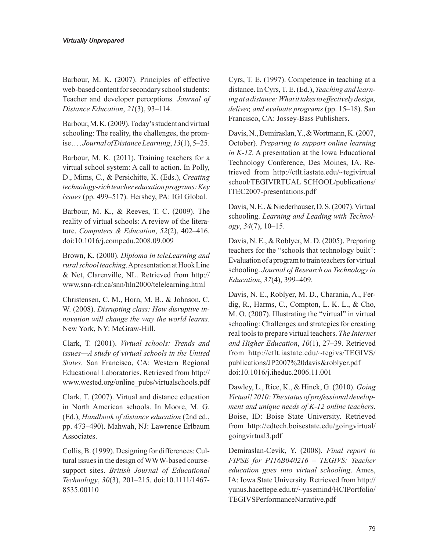Barbour, M. K. (2007). Principles of effective web-based content for secondary school students: Teacher and developer perceptions. *Journal of Distance Education*, *21*(3), 93–114.

Barbour, M. K. (2009). Today's student and virtual schooling: The reality, the challenges, the promise… . *Journal of Distance Learning*, *13*(1), 5–25.

Barbour, M. K. (2011). Training teachers for a virtual school system: A call to action. In Polly, D., Mims, C., & Persichitte, K. (Eds.), *Creating technology-rich teacher education programs: Key issues* (pp. 499–517). Hershey, PA: IGI Global.

Barbour, M. K., & Reeves, T. C. (2009). The reality of virtual schools: A review of the literature. *Computers & Education*, *52*(2), 402–416. doi:10.1016/j.compedu.2008.09.009

Brown, K. (2000). *Diploma in teleLearning and rural school teaching*. A presentation at Hook Line & Net, Clarenville, NL. Retrieved from http:// www.snn-rdr.ca/snn/hln2000/telelearning.html

Christensen, C. M., Horn, M. B., & Johnson, C. W. (2008). *Disrupting class: How disruptive innovation will change the way the world learns*. New York, NY: McGraw-Hill.

Clark, T. (2001). *Virtual schools: Trends and issues—A study of virtual schools in the United States*. San Francisco, CA: Western Regional Educational Laboratories. Retrieved from http:// www.wested.org/online\_pubs/virtualschools.pdf

Clark, T. (2007). Virtual and distance education in North American schools. In Moore, M. G. (Ed.), *Handbook of distance education* (2nd ed., pp. 473–490). Mahwah, NJ: Lawrence Erlbaum Associates.

Collis, B. (1999). Designing for differences: Cultural issues in the design of WWW-based coursesupport sites. *British Journal of Educational Technology*, *30*(3), 201–215. doi:10.1111/1467- 8535.00110

Cyrs, T. E. (1997). Competence in teaching at a distance. In Cyrs, T. E. (Ed.), *Teaching and learning at a distance: What it takes to effectively design, deliver, and evaluate programs* (pp. 15–18). San Francisco, CA: Jossey-Bass Publishers.

Davis, N., Demiraslan, Y., & Wortmann, K. (2007, October). *Preparing to support online learning in K-12*. A presentation at the Iowa Educational Technology Conference, Des Moines, IA. Retrieved from http://ctlt.iastate.edu/~tegivirtual school/TEGIVIRTUAL SCHOOL/publications/ ITEC2007-presentations.pdf

Davis, N. E., & Niederhauser, D. S. (2007). Virtual schooling. *Learning and Leading with Technology*, *34*(7), 10–15.

Davis, N. E., & Roblyer, M. D. (2005). Preparing teachers for the "schools that technology built": Evaluation of a program to train teachers for virtual schooling. *Journal of Research on Technology in Education*, *37*(4), 399–409.

Davis, N. E., Roblyer, M. D., Charania, A., Ferdig, R., Harms, C., Compton, L. K. L., & Cho, M. O. (2007). Illustrating the "virtual" in virtual schooling: Challenges and strategies for creating real tools to prepare virtual teachers. *The Internet and Higher Education*, *10*(1), 27–39. Retrieved from http://ctlt.iastate.edu/~tegivs/TEGIVS/ publications/JP2007%20davis&roblyer.pdf doi:10.1016/j.iheduc.2006.11.001

Dawley, L., Rice, K., & Hinck, G. (2010). *Going Virtual! 2010: The status of professional development and unique needs of K-12 online teachers*. Boise, ID: Boise State University. Retrieved from http://edtech.boisestate.edu/goingvirtual/ goingvirtual3.pdf

Demiraslan-Cevik, Y. (2008). *Final report to FIPSE for P116B040216 – TEGIVS: Teacher education goes into virtual schooling*. Ames, IA: Iowa State University. Retrieved from http:// yunus.hacettepe.edu.tr/~yasemind/HCIPortfolio/ TEGIVSPerformanceNarrative.pdf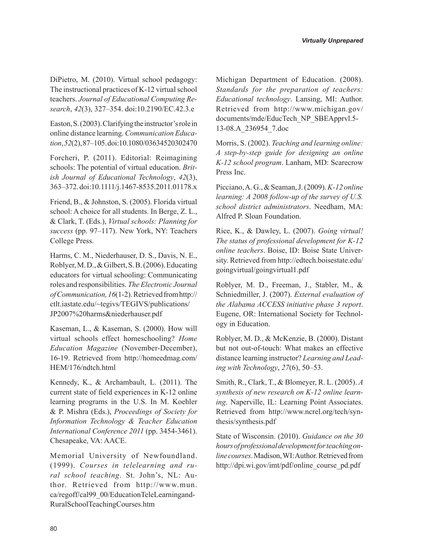DiPietro, M. (2010). Virtual school pedagogy: The instructional practices of K-12 virtual school teachers. *Journal of Educational Computing Research*, *42*(3), 327–354. doi:10.2190/EC.42.3.e

Easton, S. (2003). Clarifying the instructor's role in online distance learning. *Communication Education*, *52*(2), 87–105. doi:10.1080/03634520302470

Forcheri, P. (2011). Editorial: Reimagining schools: The potential of virtual education. *British Journal of Educational Technology*, *42*(3), 363–372. doi:10.1111/j.1467-8535.2011.01178.x

Friend, B., & Johnston, S. (2005). Florida virtual school: A choice for all students. In Berge, Z. L., & Clark, T. (Eds.), *Virtual schools: Planning for success* (pp. 97–117). New York, NY: Teachers College Press.

Harms, C. M., Niederhauser, D. S., Davis, N. E., Roblyer, M. D., & Gilbert, S. B. (2006). Educating educators for virtual schooling: Communicating roles and responsibilities. *The Electronic Journal of Communication, 16*(1-2). Retrieved from http:// ctlt.iastate.edu/~tegivs/TEGIVS/publications/ JP2007%20harms&niederhauser.pdf

Kaseman, L., & Kaseman, S. (2000). How will virtual schools effect homeschooling? *Home Education Magazine* (November-December), 16-19. Retrieved from http://homeedmag.com/ HEM/176/ndtch.html

Kennedy, K., & Archambault, L. (2011). The current state of field experiences in K-12 online learning programs in the U.S. In M. Koehler & P. Mishra (Eds.), *Proceedings of Society for Information Technology & Teacher Education International Conference 2011* (pp. 3454-3461). Chesapeake, VA: AACE.

Memorial University of Newfoundland. (1999). *Courses in telelearning and rural school teaching*. St. John's, NL: Author. Retrieved from http://www.mun. ca/regoff/cal99\_00/EducationTeleLearningand-RuralSchoolTeachingCourses.htm

Michigan Department of Education. (2008). *Standards for the preparation of teachers: Educational technology*. Lansing, MI: Author. Retrieved from http://www.michigan.gov/ documents/mde/EducTech\_NP\_SBEApprvl.5- 13-08.A\_236954\_7.doc

Morris, S. (2002). *Teaching and learning online: A step-by-step guide for designing an online K-12 school program*. Lanham, MD: Scarecrow Press Inc.

Picciano, A. G., & Seaman, J. (2009). *K-12 online learning: A 2008 follow-up of the survey of U.S. school district administrators*. Needham, MA: Alfred P. Sloan Foundation.

Rice, K., & Dawley, L. (2007). *Going virtual! The status of professional development for K-12 online teachers*. Boise, ID: Boise State University. Retrieved from http://edtech.boisestate.edu/ goingvirtual/goingvirtual1.pdf

Roblyer, M. D., Freeman, J., Stabler, M., & Schniedmiller, J. (2007). *External evaluation of the Alabama ACCESS initiative phase 3 report*. Eugene, OR: International Society for Technology in Education.

Roblyer, M. D., & McKenzie, B. (2000). Distant but not out-of-touch: What makes an effective distance learning instructor? *Learning and Leading with Technology*, *27*(6), 50–53.

Smith, R., Clark, T., & Blomeyer, R. L. (2005). *A synthesis of new research on K-12 online learning*. Naperville, IL: Learning Point Associates. Retrieved from http://www.ncrel.org/tech/synthesis/synthesis.pdf

State of Wisconsin. (2010). *Guidance on the 30 hours of professional development for teaching online courses*. Madison, WI: Author. Retrieved from http://dpi.wi.gov/imt/pdf/online\_course\_pd.pdf